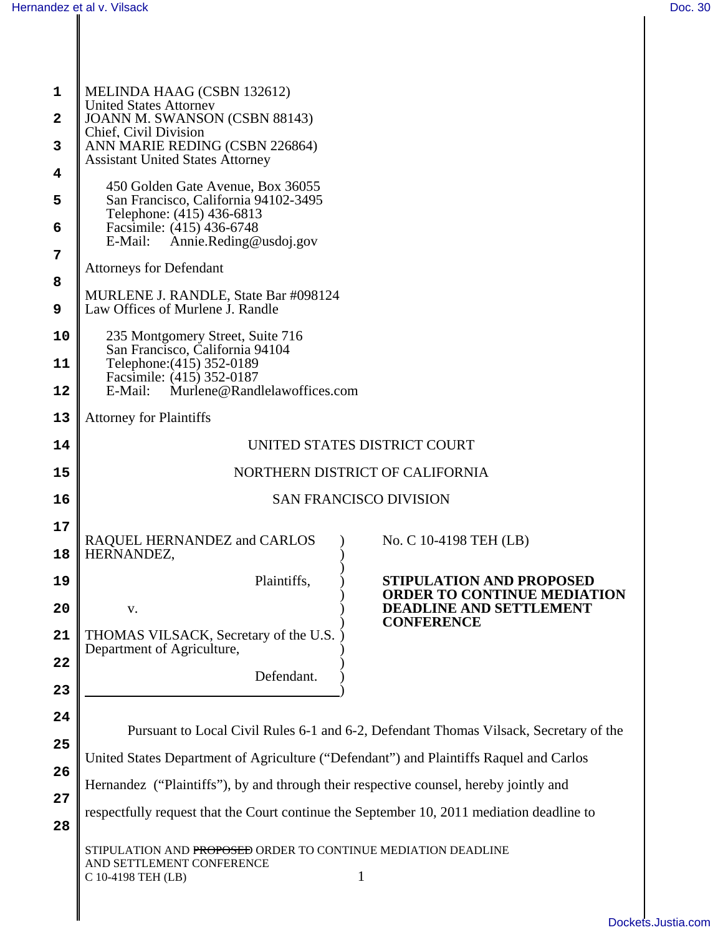| $\mathbf{1}$ | MELINDA HAAG (CSBN 132612)                                                                                                                                               |  |  |
|--------------|--------------------------------------------------------------------------------------------------------------------------------------------------------------------------|--|--|
| $\mathbf{2}$ | <b>United States Attorney</b><br>JOANN M. SWANSON (CSBN 88143)                                                                                                           |  |  |
| 3            | Chief, Civil Division<br>ANN MARIE REDING (CSBN 226864)                                                                                                                  |  |  |
| 4            | <b>Assistant United States Attorney</b>                                                                                                                                  |  |  |
| 5            | 450 Golden Gate Avenue, Box 36055<br>San Francisco, California 94102-3495                                                                                                |  |  |
| 6            | Telephone: (415) 436-6813<br>Facsimile: (415) 436-6748                                                                                                                   |  |  |
| 7            | Annie.Reding@usdoj.gov<br>E-Mail:                                                                                                                                        |  |  |
| 8            | <b>Attorneys for Defendant</b>                                                                                                                                           |  |  |
| 9            | MURLENE J. RANDLE, State Bar #098124<br>Law Offices of Murlene J. Randle                                                                                                 |  |  |
| 10           | 235 Montgomery Street, Suite 716<br>San Francisco, California 94104<br>Telephone: (415) 352-0189<br>Facsimile: (415) 352-0187<br>Murlene@Randlelawoffices.com<br>E-Mail: |  |  |
| 11           |                                                                                                                                                                          |  |  |
| 12           |                                                                                                                                                                          |  |  |
| 13           | <b>Attorney for Plaintiffs</b>                                                                                                                                           |  |  |
| 14           | UNITED STATES DISTRICT COURT                                                                                                                                             |  |  |
| 15           | NORTHERN DISTRICT OF CALIFORNIA                                                                                                                                          |  |  |
| 16           | <b>SAN FRANCISCO DIVISION</b>                                                                                                                                            |  |  |
| 17           |                                                                                                                                                                          |  |  |
| 18           | RAQUEL HERNANDEZ and CARLOS<br>No. C 10-4198 TEH (LB)<br>HERNANDEZ,                                                                                                      |  |  |
| 19           | Plaintiffs,<br>STIPULATION AND PROPOSED                                                                                                                                  |  |  |
| 20           | <b>ORDER TO CONTINUE MEDIATION</b><br><b>DEADLINE AND SETTLEMENT</b><br>V.                                                                                               |  |  |
| 21           | <b>CONFERENCE</b><br>THOMAS VILSACK, Secretary of the U.S.                                                                                                               |  |  |
| 22           | Department of Agriculture,                                                                                                                                               |  |  |
| 23           | Defendant.                                                                                                                                                               |  |  |
| 24           |                                                                                                                                                                          |  |  |
| 25           | Pursuant to Local Civil Rules 6-1 and 6-2, Defendant Thomas Vilsack, Secretary of the                                                                                    |  |  |
| 26           | United States Department of Agriculture ("Defendant") and Plaintiffs Raquel and Carlos                                                                                   |  |  |
| 27           | Hernandez ("Plaintiffs"), by and through their respective counsel, hereby jointly and                                                                                    |  |  |
| 28           | respectfully request that the Court continue the September 10, 2011 mediation deadline to                                                                                |  |  |
|              | STIPULATION AND PROPOSED ORDER TO CONTINUE MEDIATION DEADLINE<br>AND SETTLEMENT CONFERENCE<br>$\mathbf{1}$<br>C 10-4198 TEH (LB)                                         |  |  |
|              |                                                                                                                                                                          |  |  |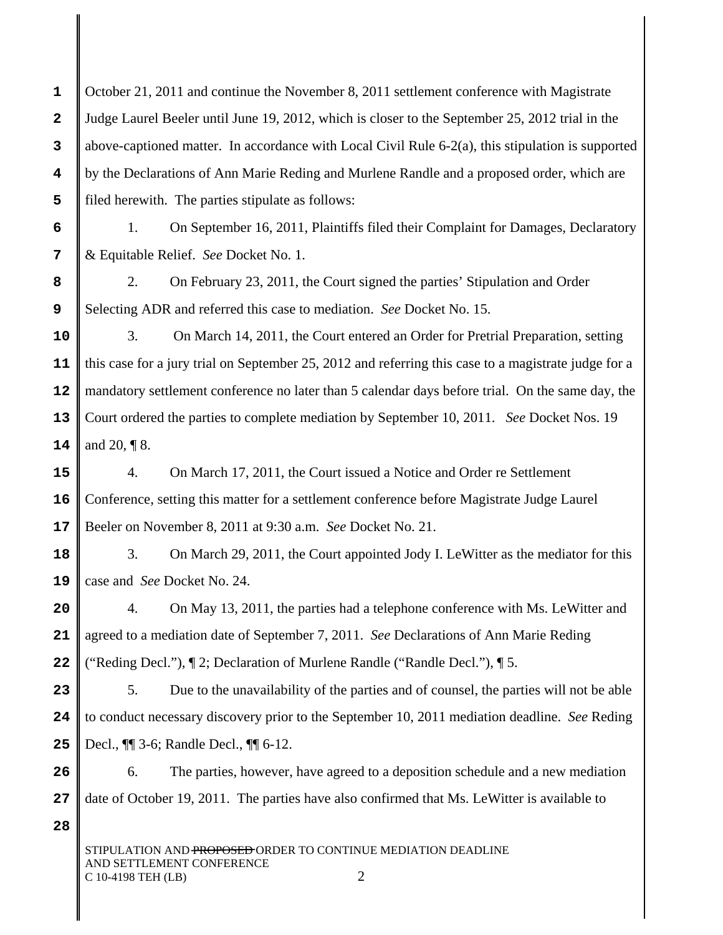**1 2 3 4 5** October 21, 2011 and continue the November 8, 2011 settlement conference with Magistrate Judge Laurel Beeler until June 19, 2012, which is closer to the September 25, 2012 trial in the above-captioned matter. In accordance with Local Civil Rule  $6-2(a)$ , this stipulation is supported by the Declarations of Ann Marie Reding and Murlene Randle and a proposed order, which are filed herewith. The parties stipulate as follows:

1. On September 16, 2011, Plaintiffs filed their Complaint for Damages, Declaratory & Equitable Relief. *See* Docket No. 1.

**8 9** 2. On February 23, 2011, the Court signed the parties' Stipulation and Order Selecting ADR and referred this case to mediation. *See* Docket No. 15.

**10 11 12 13 14** 3. On March 14, 2011, the Court entered an Order for Pretrial Preparation, setting this case for a jury trial on September 25, 2012 and referring this case to a magistrate judge for a mandatory settlement conference no later than 5 calendar days before trial. On the same day, the Court ordered the parties to complete mediation by September 10, 2011. *See* Docket Nos. 19 and 20, ¶ 8.

**15 16 17** 4. On March 17, 2011, the Court issued a Notice and Order re Settlement Conference, setting this matter for a settlement conference before Magistrate Judge Laurel Beeler on November 8, 2011 at 9:30 a.m. *See* Docket No. 21.

**18 19** 3. On March 29, 2011, the Court appointed Jody I. LeWitter as the mediator for this case and *See* Docket No. 24.

**20 21 22** 4. On May 13, 2011, the parties had a telephone conference with Ms. LeWitter and agreed to a mediation date of September 7, 2011. *See* Declarations of Ann Marie Reding ("Reding Decl."), ¶ 2; Declaration of Murlene Randle ("Randle Decl."), ¶ 5.

**23 24 25** 5. Due to the unavailability of the parties and of counsel, the parties will not be able to conduct necessary discovery prior to the September 10, 2011 mediation deadline. *See* Reding Decl., ¶¶ 3-6; Randle Decl., ¶¶ 6-12.

**26 27** 6. The parties, however, have agreed to a deposition schedule and a new mediation date of October 19, 2011. The parties have also confirmed that Ms. LeWitter is available to

**28**

**6**

**7**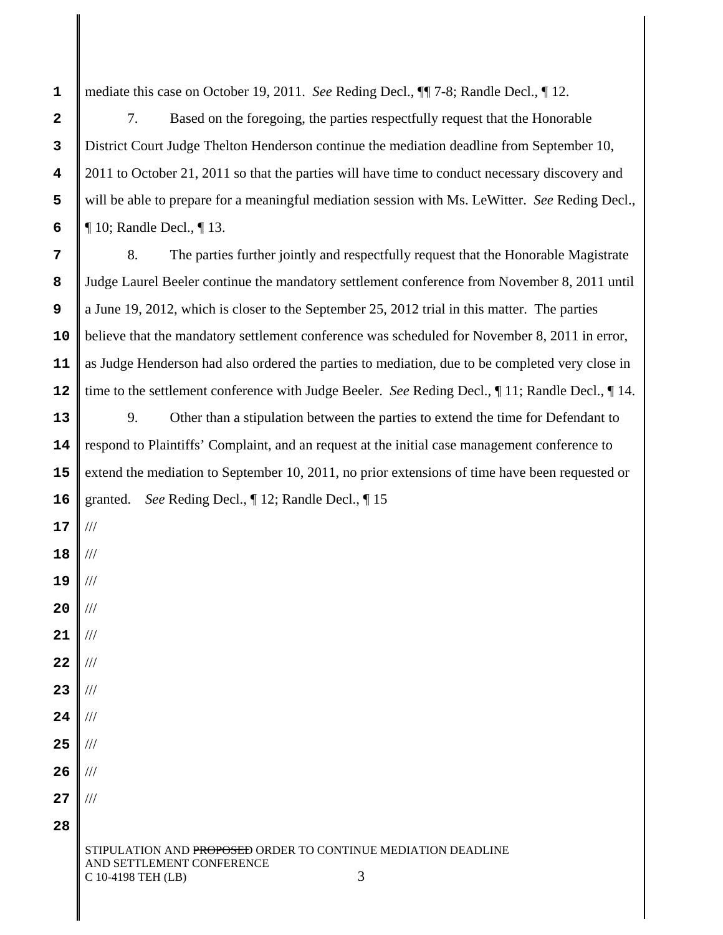**1** mediate this case on October 19, 2011. *See* Reding Decl., ¶¶ 7-8; Randle Decl., ¶ 12.

7. Based on the foregoing, the parties respectfully request that the Honorable District Court Judge Thelton Henderson continue the mediation deadline from September 10, 2011 to October 21, 2011 so that the parties will have time to conduct necessary discovery and will be able to prepare for a meaningful mediation session with Ms. LeWitter. *See* Reding Decl., ¶ 10; Randle Decl., ¶ 13.

**7 8 9 10 11 12** 8. The parties further jointly and respectfully request that the Honorable Magistrate Judge Laurel Beeler continue the mandatory settlement conference from November 8, 2011 until a June 19, 2012, which is closer to the September 25, 2012 trial in this matter. The parties believe that the mandatory settlement conference was scheduled for November 8, 2011 in error, as Judge Henderson had also ordered the parties to mediation, due to be completed very close in time to the settlement conference with Judge Beeler. *See* Reding Decl., ¶ 11; Randle Decl., ¶ 14.

**13 14 15 16** 9. Other than a stipulation between the parties to extend the time for Defendant to respond to Plaintiffs' Complaint, and an request at the initial case management conference to extend the mediation to September 10, 2011, no prior extensions of time have been requested or granted. *See* Reding Decl., ¶ 12; Randle Decl., ¶ 15

**18 19 20 21** /// /// ///

**17**

///

///

**2**

**3**

**4**

**5**

**6**

- **22 23** /// ///
- **24** ///
- **25** ///
- **26** ///

///

- **27**
- **28**

STIPULATION AND PROPOSED ORDER TO CONTINUE MEDIATION DEADLINE AND SETTLEMENT CONFERENCE C 10-4198 TEH (LB) 3